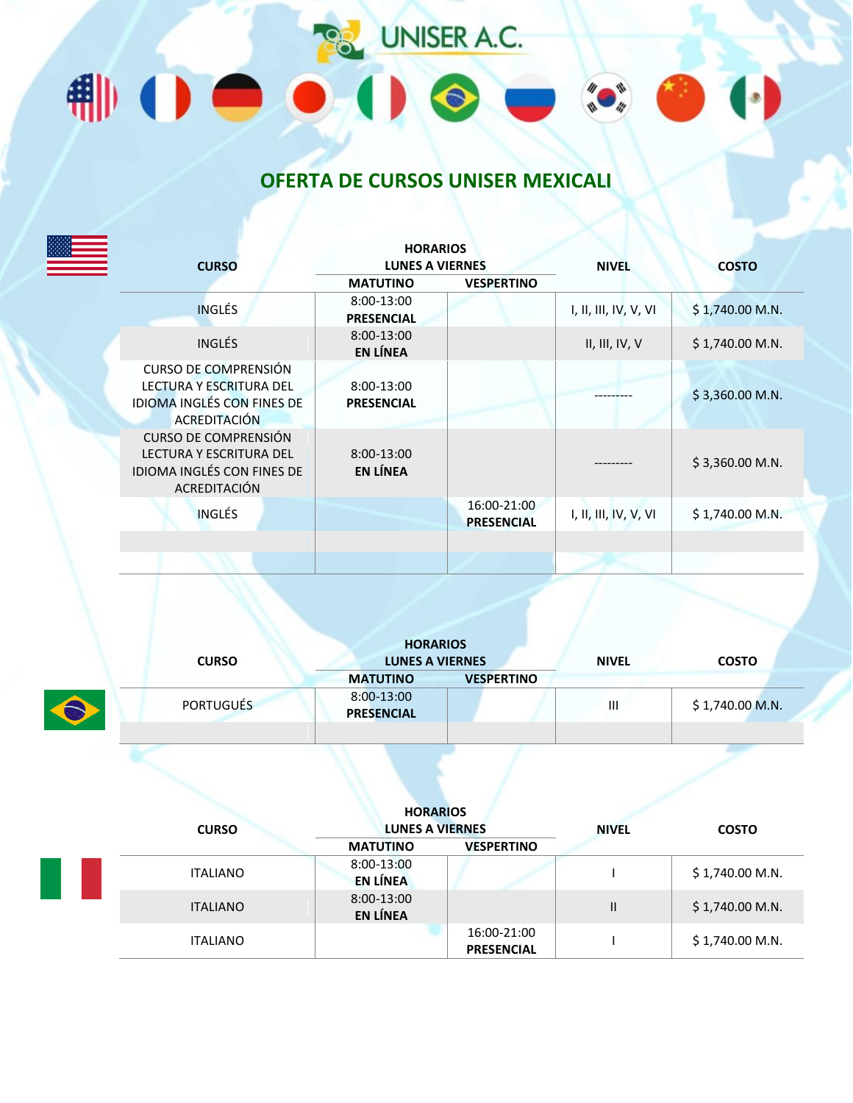

## **OFERTA DE CURSOS UNISER MEXICALI**

|                                                                                                             | <b>HORARIOS</b>                 |                                  |                       |                  |
|-------------------------------------------------------------------------------------------------------------|---------------------------------|----------------------------------|-----------------------|------------------|
| <b>CURSO</b>                                                                                                | <b>LUNES A VIERNES</b>          |                                  | <b>NIVEL</b>          | <b>COSTO</b>     |
|                                                                                                             | <b>MATUTINO</b>                 | <b>VESPERTINO</b>                |                       |                  |
| <b>INGLÉS</b>                                                                                               | 8:00-13:00<br><b>PRESENCIAL</b> |                                  | I, II, III, IV, V, VI | $$1,740.00$ M.N. |
| <b>INGLÉS</b>                                                                                               | 8:00-13:00<br><b>EN LÍNEA</b>   |                                  | II, III, IV, V        | \$1,740.00 M.N.  |
| <b>CURSO DE COMPRENSIÓN</b>                                                                                 |                                 |                                  |                       |                  |
| <b>LECTURA Y ESCRITURA DEL</b><br><b>IDIOMA INGLÉS CON FINES DE</b><br><b>ACREDITACIÓN</b>                  | 8:00-13:00<br><b>PRESENCIAL</b> |                                  |                       | \$3,360.00 M.N.  |
| <b>CURSO DE COMPRENSIÓN</b><br><b>LECTURA Y ESCRITURA DEL</b><br>IDIOMA INGLÉS CON FINES DE<br>ACREDITACIÓN | 8:00-13:00<br><b>EN LÍNEA</b>   |                                  |                       | $$3,360.00$ M.N. |
| <b>INGLÉS</b>                                                                                               |                                 | 16:00-21:00<br><b>PRESENCIAL</b> | I, II, III, IV, V, VI | $$1,740.00$ M.N. |
|                                                                                                             |                                 |                                  |                       |                  |
|                                                                                                             |                                 |                                  |                       |                  |

| <b>CURSO</b>     | <b>HORARIOS</b><br><b>LUNES A VIERNES</b> |                   | <b>NIVEL</b> | <b>COSTO</b>     |
|------------------|-------------------------------------------|-------------------|--------------|------------------|
|                  | <b>MATUTINO</b>                           | <b>VESPERTINO</b> |              |                  |
| <b>PORTUGUÉS</b> | 8:00-13:00<br><b>PRESENCIAL</b>           |                   | Ш            | $$1,740.00$ M.N. |
|                  |                                           |                   |              |                  |

| <b>CURSO</b>    | <b>HORARIOS</b><br><b>LUNES A VIERNES</b> |                                  | <b>NIVEL</b> | <b>COSTO</b>     |
|-----------------|-------------------------------------------|----------------------------------|--------------|------------------|
|                 | <b>MATUTINO</b>                           | <b>VESPERTINO</b>                |              |                  |
| <b>ITALIANO</b> | 8:00-13:00<br><b>EN LÍNEA</b>             |                                  |              | $$1,740.00$ M.N. |
| <b>ITALIANO</b> | 8:00-13:00<br><b>EN LÍNEA</b>             |                                  | Ш            | $$1,740.00$ M.N. |
| <b>ITALIANO</b> |                                           | 16:00-21:00<br><b>PRESENCIAL</b> |              | $$1,740.00$ M.N. |